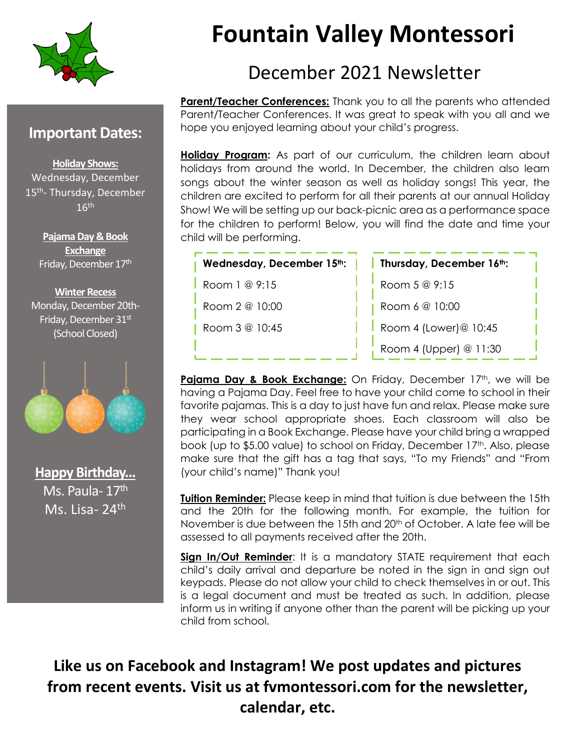

### **Important Dates:**

**Holiday Shows:** Wednesday, December 15<sup>th</sup>-Thursday, December  $16<sup>th</sup>$ 

> **Pajama Day & Book Exchange** Friday, December 17<sup>th</sup>

**Winter Recess** Monday, December 20th-Friday, December 31st (School Closed)



**Happy Birthday...** Ms. Paula- 17<sup>th</sup> Ms. Lisa- 24th

# **Fountain Valley Montessori**

### December 2021 Newsletter

**Parent/Teacher Conferences:** Thank you to all the parents who attended Parent/Teacher Conferences. It was great to speak with you all and we hope you enjoyed learning about your child's progress.

**Holiday Program:** As part of our curriculum, the children learn about holidays from around the world. In December, the children also learn songs about the winter season as well as holiday songs! This year, the children are excited to perform for all their parents at our annual Holiday Show! We will be setting up our back-picnic area as a performance space for the children to perform! Below, you will find the date and time your child will be performing.

| Wednesday, December 15th: |
|---------------------------|
| Room $1@9:15$             |
| Room 2 @ 10:00            |
| Room 3 @ 10:45            |
|                           |

**Thursday, December 16th:** Room 5 @ 9:15 Room 6 @ 10:00 Room 4 (Lower)@ 10:45 Room 4 (Upper) @ 11:30

Pajama Day & Book Exchange: On Friday, December 17<sup>th</sup>, we will be having a Pajama Day. Feel free to have your child come to school in their favorite pajamas. This is a day to just have fun and relax. Please make sure they wear school appropriate shoes. Each classroom will also be participating in a Book Exchange. Please have your child bring a wrapped book (up to \$5.00 value) to school on Friday, December 17<sup>th</sup>. Also, please make sure that the gift has a tag that says, "To my Friends" and "From (your child's name)" Thank you!

**Tuition Reminder:** Please keep in mind that tuition is due between the 15th and the 20th for the following month. For example, the tuition for November is due between the 15th and 20<sup>th</sup> of October. A late fee will be assessed to all payments received after the 20th.

**Sign In/Out Reminder:** It is a mandatory STATE requirement that each child's daily arrival and departure be noted in the sign in and sign out keypads. Please do not allow your child to check themselves in or out. This is a legal document and must be treated as such. In addition, please inform us in writing if anyone other than the parent will be picking up your child from school.

**Like us on Facebook and Instagram! We post updates and pictures from recent events. Visit us at fvmontessori.com for the newsletter, calendar, etc.**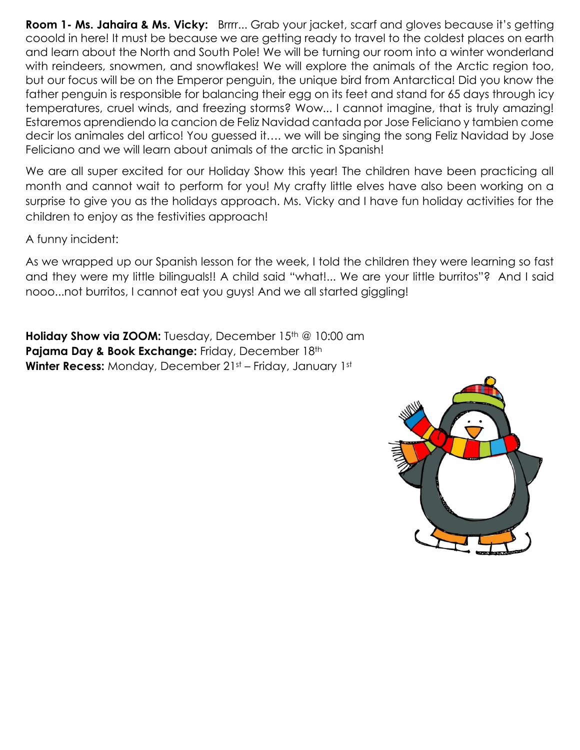**Room 1- Ms. Jahaira & Ms. Vicky:** Brrrr... Grab your jacket, scarf and gloves because it's getting cooold in here! It must be because we are getting ready to travel to the coldest places on earth and learn about the North and South Pole! We will be turning our room into a winter wonderland with reindeers, snowmen, and snowflakes! We will explore the animals of the Arctic region too, but our focus will be on the Emperor penguin, the unique bird from Antarctica! Did you know the father penguin is responsible for balancing their egg on its feet and stand for 65 days through icy temperatures, cruel winds, and freezing storms? Wow... I cannot imagine, that is truly amazing! Estaremos aprendiendo la cancion de Feliz Navidad cantada por Jose Feliciano y tambien come decir los animales del artico! You guessed it…. we will be singing the song Feliz Navidad by Jose Feliciano and we will learn about animals of the arctic in Spanish!

We are all super excited for our Holiday Show this year! The children have been practicing all month and cannot wait to perform for you! My crafty little elves have also been working on a surprise to give you as the holidays approach. Ms. Vicky and I have fun holiday activities for the children to enjoy as the festivities approach!

A funny incident:

As we wrapped up our Spanish lesson for the week, I told the children they were learning so fast and they were my little bilinguals!! A child said "what!... We are your little burritos"? And I said nooo...not burritos, I cannot eat you guys! And we all started giggling!

**Holiday Show via ZOOM:** Tuesday, December 15<sup>th</sup> @ 10:00 am Pajama Day & Book Exchange: Friday, December 18th **Winter Recess:** Monday, December 21st – Friday, January 1st

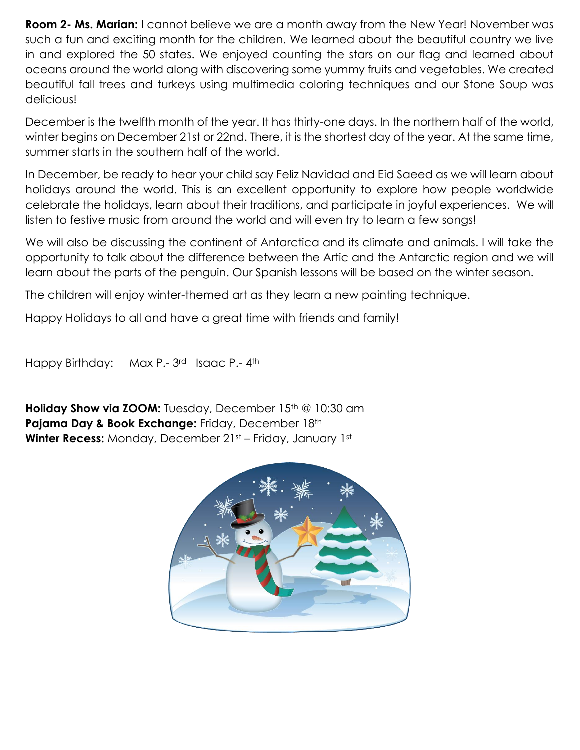**Room 2- Ms. Marian:** I cannot believe we are a month away from the New Year! November was such a fun and exciting month for the children. We learned about the beautiful country we live in and explored the 50 states. We enjoyed counting the stars on our flag and learned about oceans around the world along with discovering some yummy fruits and vegetables. We created beautiful fall trees and turkeys using multimedia coloring techniques and our Stone Soup was delicious!

December is the twelfth month of the year. It has thirty-one days. In the northern half of the world, winter begins on December 21st or 22nd. There, it is the shortest day of the year. At the same time, summer starts in the southern half of the world.

In December, be ready to hear your child say Feliz Navidad and Eid Saeed as we will learn about holidays around the world. This is an excellent opportunity to explore how people worldwide celebrate the holidays, learn about their traditions, and participate in joyful experiences. We will listen to festive music from around the world and will even try to learn a few songs!

We will also be discussing the continent of Antarctica and its climate and animals. I will take the opportunity to talk about the difference between the Artic and the Antarctic region and we will learn about the parts of the penguin. Our Spanish lessons will be based on the winter season.

The children will enjoy winter-themed art as they learn a new painting technique.

Happy Holidays to all and have a great time with friends and family!

Happy Birthday: Max P.- 3rd Isaac P.- 4th

**Holiday Show via ZOOM:** Tuesday, December 15<sup>th</sup> @ 10:30 am Pajama Day & Book Exchange: Friday, December 18th **Winter Recess:** Monday, December 21st – Friday, January 1st

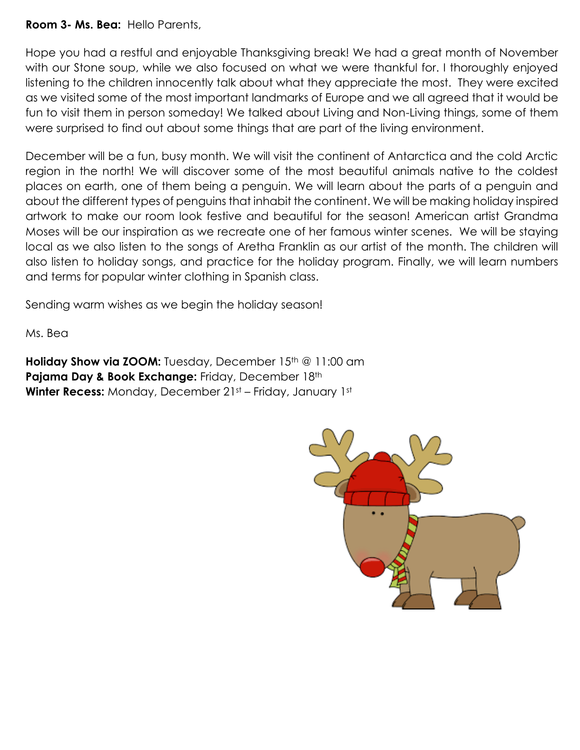#### **Room 3- Ms. Bea:** Hello Parents,

Hope you had a restful and enjoyable Thanksgiving break! We had a great month of November with our Stone soup, while we also focused on what we were thankful for. I thoroughly enjoyed listening to the children innocently talk about what they appreciate the most. They were excited as we visited some of the most important landmarks of Europe and we all agreed that it would be fun to visit them in person someday! We talked about Living and Non-Living things, some of them were surprised to find out about some things that are part of the living environment.

December will be a fun, busy month. We will visit the continent of Antarctica and the cold Arctic region in the north! We will discover some of the most beautiful animals native to the coldest places on earth, one of them being a penguin. We will learn about the parts of a penguin and about the different types of penguins that inhabit the continent. We will be making holiday inspired artwork to make our room look festive and beautiful for the season! American artist Grandma Moses will be our inspiration as we recreate one of her famous winter scenes. We will be staying local as we also listen to the songs of Aretha Franklin as our artist of the month. The children will also listen to holiday songs, and practice for the holiday program. Finally, we will learn numbers and terms for popular winter clothing in Spanish class.

Sending warm wishes as we begin the holiday season!

Ms. Bea

**Holiday Show via ZOOM:** Tuesday, December 15<sup>th</sup> @ 11:00 am Pajama Day & Book Exchange: Friday, December 18th **Winter Recess:** Monday, December 21st – Friday, January 1st

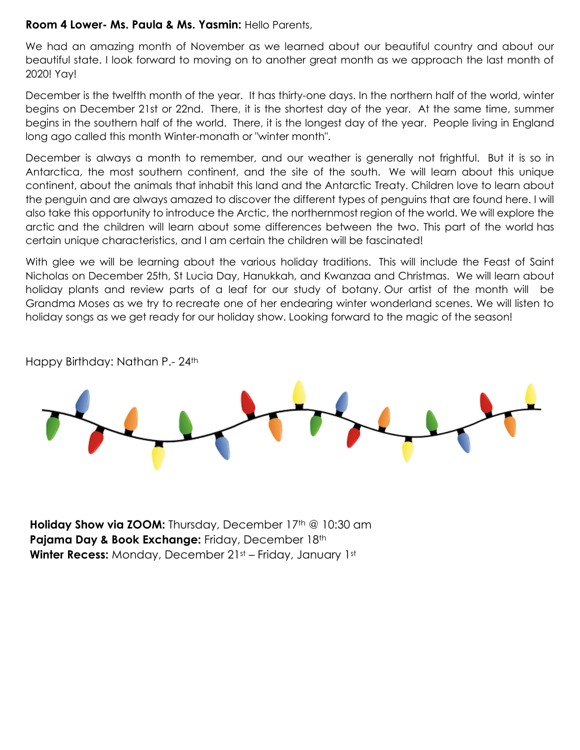#### **Room 4 Lower- Ms. Paula & Ms. Yasmin:** Hello Parents,

We had an amazing month of November as we learned about our beautiful country and about our beautiful state. I look forward to moving on to another great month as we approach the last month of 2020! Yay!

December is the twelfth month of the year. It has thirty-one days. In the northern half of the world, winter begins on December 21st or 22nd. There, it is the shortest day of the year. At the same time, summer begins in the southern half of the world. There, it is the longest day of the year. People living in England long ago called this month Winter-monath or "winter month".

December is always a month to remember, and our weather is generally not frightful. But it is so in Antarctica, the most southern continent, and the site of the south. We will learn about this unique continent, about the animals that inhabit this land and the Antarctic Treaty. Children love to learn about the penguin and are always amazed to discover the different types of penguins that are found here. I will also take this opportunity to introduce the Arctic, the northernmost region of the world. We will explore the arctic and the children will learn about some differences between the two. This part of the world has certain unique characteristics, and I am certain the children will be fascinated!

With glee we will be learning about the various holiday traditions. This will include the Feast of Saint Nicholas on December 25th, St Lucia Day, Hanukkah, and Kwanzaa and Christmas. We will learn about holiday plants and review parts of a leaf for our study of botany. Our artist of the month will be Grandma Moses as we try to recreate one of her endearing winter wonderland scenes. We will listen to holiday songs as we get ready for our holiday show. Looking forward to the magic of the season!

Happy Birthday: Nathan P.- 24th



**Holiday Show via ZOOM:** Thursday, December 17<sup>th</sup> @ 10:30 am Pajama Day & Book Exchange: Friday, December 18th **Winter Recess:** Monday, December 21st – Friday, January 1st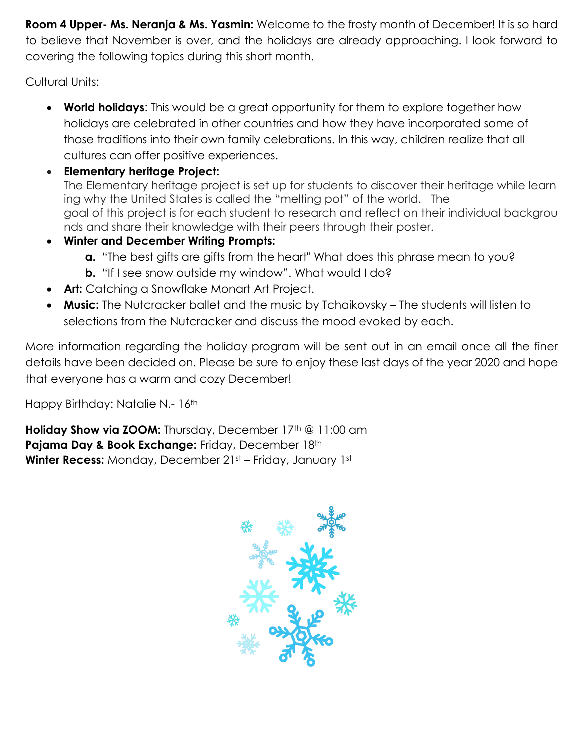**Room 4 Upper- Ms. Neranja & Ms. Yasmin:** Welcome to the frosty month of December! It is so hard to believe that November is over, and the holidays are already approaching. I look forward to covering the following topics during this short month.

Cultural Units:

- **World holidays**: This would be a great opportunity for them to explore together how holidays are celebrated in other countries and how they have incorporated some of those traditions into their own family celebrations. In this way, children realize that all cultures can offer positive experiences.
- **Elementary heritage Project:**

The Elementary heritage project is set up for students to discover their heritage while learn ing why the United States is called the "melting pot" of the world. The goal of this project is for each student to research and reflect on their individual backgrou nds and share their knowledge with their peers through their poster.

- **Winter and December Writing Prompts:**
	- **a.** "The best gifts are gifts from the heart" What does this phrase mean to you?
	- **b.** "If I see snow outside my window". What would I do?
- **Art:** Catching a Snowflake Monart Art Project.
- **Music:** The Nutcracker ballet and the music by Tchaikovsky The students will listen to selections from the Nutcracker and discuss the mood evoked by each.

More information regarding the holiday program will be sent out in an email once all the finer details have been decided on. Please be sure to enjoy these last days of the year 2020 and hope that everyone has a warm and cozy December!

Happy Birthday: Natalie N.- 16th

**Holiday Show via ZOOM:** Thursday, December 17<sup>th</sup> @ 11:00 am Pajama Day & Book Exchange: Friday, December 18th **Winter Recess:** Monday, December 21st – Friday, January 1st

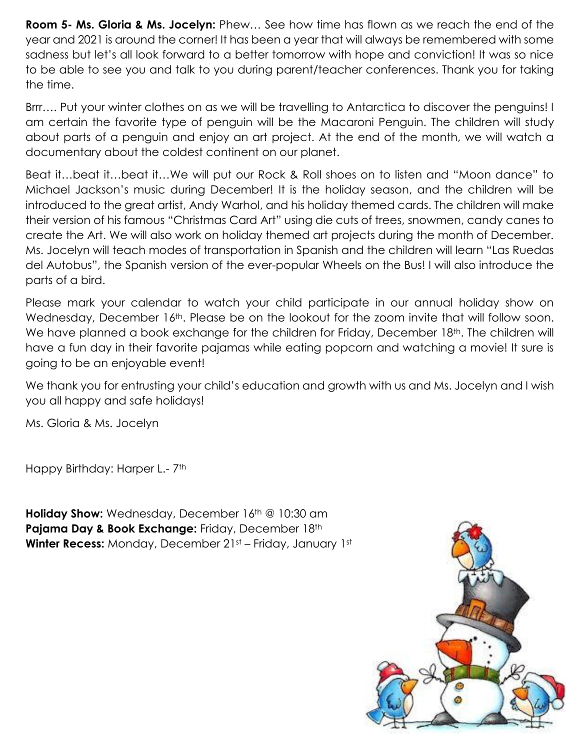**Room 5- Ms. Gloria & Ms. Jocelyn:** Phew… See how time has flown as we reach the end of the year and 2021 is around the corner! It has been a year that will always be remembered with some sadness but let's all look forward to a better tomorrow with hope and conviction! It was so nice to be able to see you and talk to you during parent/teacher conferences. Thank you for taking the time.

Brrr…. Put your winter clothes on as we will be travelling to Antarctica to discover the penguins! I am certain the favorite type of penguin will be the Macaroni Penguin. The children will study about parts of a penguin and enjoy an art project. At the end of the month, we will watch a documentary about the coldest continent on our planet.

Beat it…beat it…beat it…We will put our Rock & Roll shoes on to listen and "Moon dance" to Michael Jackson's music during December! It is the holiday season, and the children will be introduced to the great artist, Andy Warhol, and his holiday themed cards. The children will make their version of his famous "Christmas Card Art" using die cuts of trees, snowmen, candy canes to create the Art. We will also work on holiday themed art projects during the month of December. Ms. Jocelyn will teach modes of transportation in Spanish and the children will learn "Las Ruedas del Autobus", the Spanish version of the ever-popular Wheels on the Bus! I will also introduce the parts of a bird.

Please mark your calendar to watch your child participate in our annual holiday show on Wednesday, December 16<sup>th</sup>. Please be on the lookout for the zoom invite that will follow soon. We have planned a book exchange for the children for Friday, December 18<sup>th</sup>. The children will have a fun day in their favorite pajamas while eating popcorn and watching a movie! It sure is going to be an enjoyable event!

We thank you for entrusting your child's education and growth with us and Ms. Jocelyn and I wish you all happy and safe holidays!

Ms. Gloria & Ms. Jocelyn

Happy Birthday: Harper L.- 7<sup>th</sup>

**Holiday Show:** Wednesday, December 16<sup>th</sup> @ 10:30 am Pajama Day & Book Exchange: Friday, December 18th Winter Recess: Monday, December 21st – Friday, January 1st

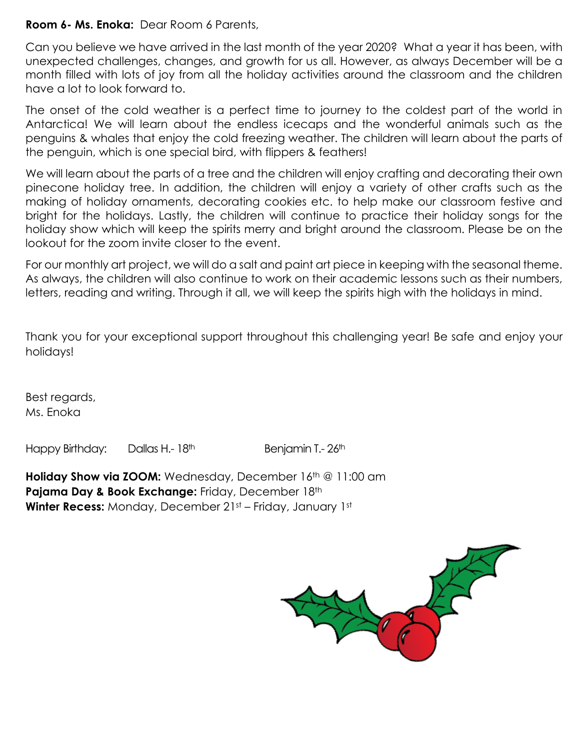#### **Room 6- Ms. Enoka:** Dear Room 6 Parents,

Can you believe we have arrived in the last month of the year 2020? What a year it has been, with unexpected challenges, changes, and growth for us all. However, as always December will be a month filled with lots of joy from all the holiday activities around the classroom and the children have a lot to look forward to.

The onset of the cold weather is a perfect time to journey to the coldest part of the world in Antarctica! We will learn about the endless icecaps and the wonderful animals such as the penguins & whales that enjoy the cold freezing weather. The children will learn about the parts of the penguin, which is one special bird, with flippers & feathers!

We will learn about the parts of a tree and the children will enjoy crafting and decorating their own pinecone holiday tree. In addition, the children will enjoy a variety of other crafts such as the making of holiday ornaments, decorating cookies etc. to help make our classroom festive and bright for the holidays. Lastly, the children will continue to practice their holiday songs for the holiday show which will keep the spirits merry and bright around the classroom. Please be on the lookout for the zoom invite closer to the event.

For our monthly art project, we will do a salt and paint art piece in keeping with the seasonal theme. As always, the children will also continue to work on their academic lessons such as their numbers, letters, reading and writing. Through it all, we will keep the spirits high with the holidays in mind.

Thank you for your exceptional support throughout this challenging year! Be safe and enjoy your holidays!

Best regards, Ms. Enoka

Happy Birthday: Dallas H.-18<sup>th</sup> Benjamin T.-26<sup>th</sup>

**Holiday Show via ZOOM:** Wednesday, December 16<sup>th</sup> @ 11:00 am Pajama Day & Book Exchange: Friday, December 18th **Winter Recess:** Monday, December 21st – Friday, January 1st

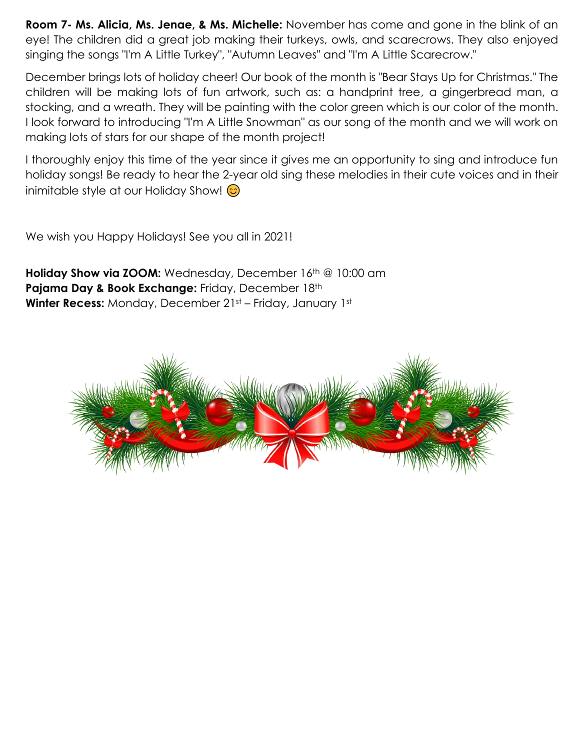**Room 7- Ms. Alicia, Ms. Jenae, & Ms. Michelle:** November has come and gone in the blink of an eye! The children did a great job making their turkeys, owls, and scarecrows. They also enjoyed singing the songs "I'm A Little Turkey", "Autumn Leaves" and "I'm A Little Scarecrow."

December brings lots of holiday cheer! Our book of the month is "Bear Stays Up for Christmas." The children will be making lots of fun artwork, such as: a handprint tree, a gingerbread man, a stocking, and a wreath. They will be painting with the color green which is our color of the month. I look forward to introducing "I'm A Little Snowman" as our song of the month and we will work on making lots of stars for our shape of the month project!

I thoroughly enjoy this time of the year since it gives me an opportunity to sing and introduce fun holiday songs! Be ready to hear the 2-year old sing these melodies in their cute voices and in their inimitable style at our Holiday Show!  $\odot$ 

We wish you Happy Holidays! See you all in 2021!

**Holiday Show via ZOOM:** Wednesday, December 16<sup>th</sup> @ 10:00 am Pajama Day & Book Exchange: Friday, December 18th **Winter Recess:** Monday, December 21st – Friday, January 1st